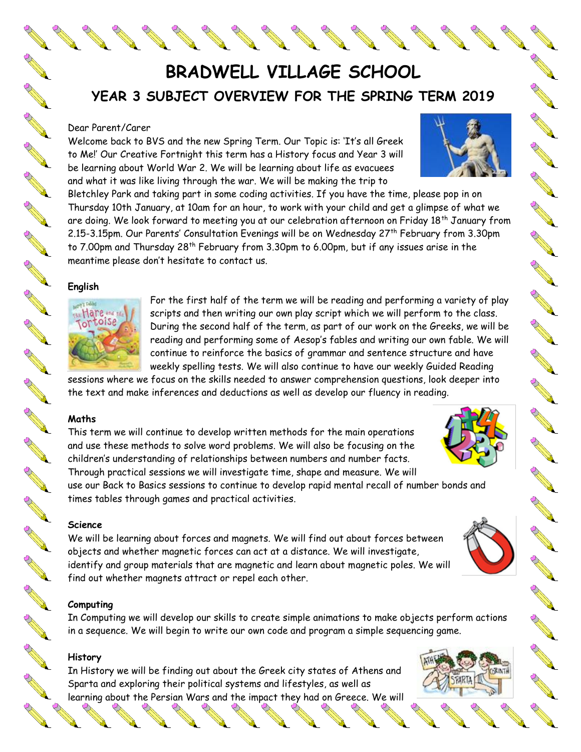**BRADWELL VILLAGE SCHOOL YEAR 3 SUBJECT OVERVIEW FOR THE SPRING TERM 2019**

### Dear Parent/Carer

A March 19

**ANTI** 

AND RO

**ANTI** 

**RANCISCO** 

**AND ROAD** 

A March

Control Residents

A March

**RANCISCO CONTROLLER** 

AND ROOM

A REA

A REAL

AND TO BE A PARTICULAR OF

AN CORPORATION

**ANTICOLLECTION** 

**RANCISCO** 

**RANCH CONTROLLER** 

Welcome back to BVS and the new Spring Term. Our Topic is: 'It's all Greek to Me!' Our Creative Fortnight this term has a History focus and Year 3 will be learning about World War 2. We will be learning about life as evacuees and what it was like living through the war. We will be making the trip to

Bletchley Park and taking part in some coding activities. If you have the time, please pop in on Thursday 10th January, at 10am for an hour, to work with your child and get a glimpse of what we are doing. We look forward to meeting you at our celebration afternoon on Friday 18<sup>th</sup> January from 2.15-3.15pm. Our Parents' Consultation Evenings will be on Wednesday 27<sup>th</sup> February from 3.30pm to 7.00pm and Thursday 28<sup>th</sup> February from 3.30pm to 6.00pm, but if any issues arise in the meantime please don't hesitate to contact us.

### **English**



For the first half of the term we will be reading and performing a variety of play scripts and then writing our own play script which we will perform to the class. During the second half of the term, as part of our work on the Greeks, we will be reading and performing some of Aesop's fables and writing our own fable. We will continue to reinforce the basics of grammar and sentence structure and have weekly spelling tests. We will also continue to have our weekly Guided Reading

sessions where we focus on the skills needed to answer comprehension questions, look deeper into the text and make inferences and deductions as well as develop our fluency in reading.

### **Maths**

This term we will continue to develop written methods for the main operations and use these methods to solve word problems. We will also be focusing on the children's understanding of relationships between numbers and number facts. Through practical sessions we will investigate time, shape and measure. We will

use our Back to Basics sessions to continue to develop rapid mental recall of number bonds and times tables through games and practical activities.

#### **Science**

We will be learning about forces and magnets. We will find out about forces between objects and whether magnetic forces can act at a distance. We will investigate, identify and group materials that are magnetic and learn about magnetic poles. We will find out whether magnets attract or repel each other.

### **Computing**

In Computing we will develop our skills to create simple animations to make objects perform actions in a sequence. We will begin to write our own code and program a simple sequencing game.

### **History**

In History we will be finding out about the Greek city states of Athens and Sparta and exploring their political systems and lifestyles, as well as learning about the Persian Wars and the impact they had on Greece. We will<br>  $\begin{array}{ccccc}\n\bullet & \bullet & \bullet & \bullet & \bullet & \bullet & \bullet\n\end{array}$ 











A Marian

CONTROLLER

AND ROW

RA RE

A AND

RA REA

A Maria

RA REA

New Read

No recent de la

A Maria

AND TO

AND 1

A March 19

No.